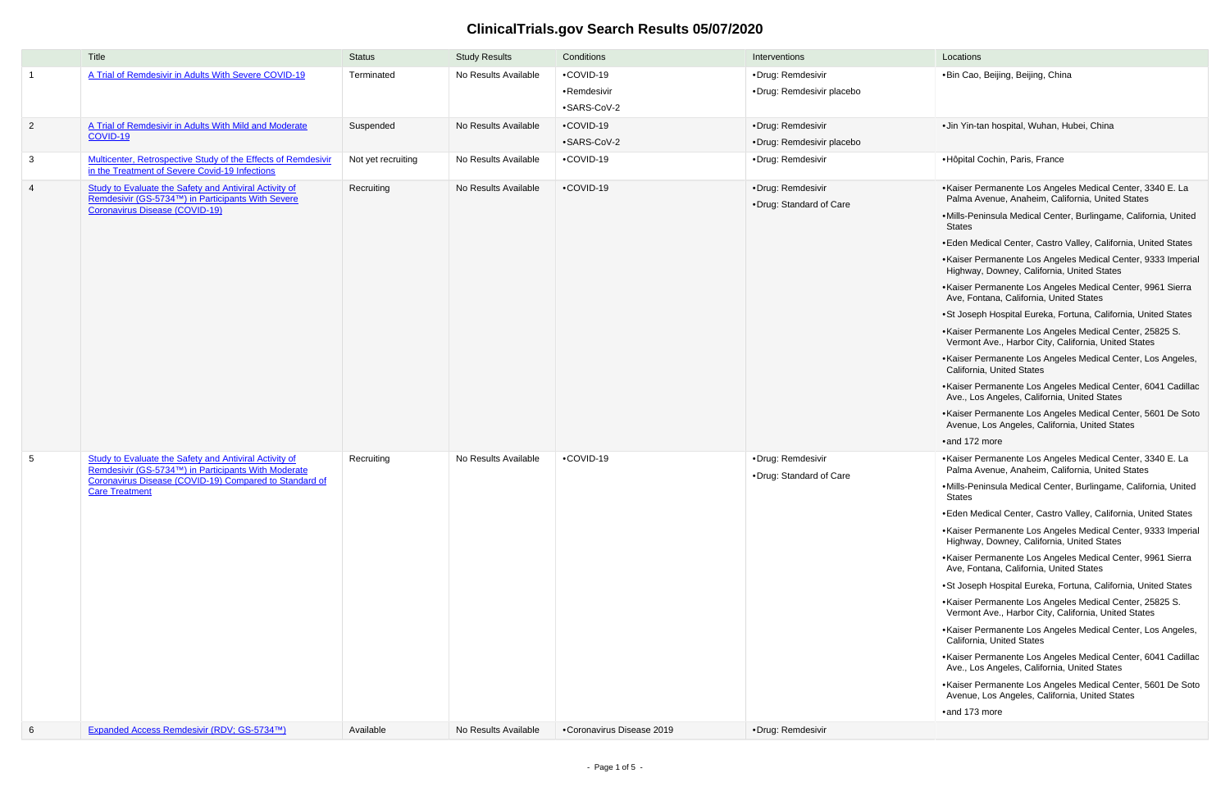## **ClinicalTrials.gov Search Results 05/07/2020**

•Bin Cao, Beijing, Beijing, China

•Jin Yin-tan hospital, Wuhan, Hubei, China

## •Hôpital Cochin, Paris, France

|                            | Title                                                                                                                                                | <b>Status</b>      | <b>Study Results</b> | Conditions                | Interventions                                 | Locations                                                                                                                                                                                                                         |
|----------------------------|------------------------------------------------------------------------------------------------------------------------------------------------------|--------------------|----------------------|---------------------------|-----------------------------------------------|-----------------------------------------------------------------------------------------------------------------------------------------------------------------------------------------------------------------------------------|
| $\overline{\phantom{0}}$ 1 | A Trial of Remdesivir in Adults With Severe COVID-19                                                                                                 | Terminated         | No Results Available | •COVID-19                 | ·Drug: Remdesivir                             | ·Bin Cao,                                                                                                                                                                                                                         |
|                            |                                                                                                                                                      |                    |                      | •Remdesivir               | ·Drug: Remdesivir placebo                     |                                                                                                                                                                                                                                   |
|                            |                                                                                                                                                      |                    |                      | •SARS-CoV-2               |                                               |                                                                                                                                                                                                                                   |
| $\overline{2}$             | A Trial of Remdesivir in Adults With Mild and Moderate                                                                                               | Suspended          | No Results Available | •COVID-19                 | ·Drug: Remdesivir                             | ·Jin Yin-ta                                                                                                                                                                                                                       |
|                            | <b>COVID-19</b>                                                                                                                                      |                    |                      | •SARS-CoV-2               | •Drug: Remdesivir placebo                     |                                                                                                                                                                                                                                   |
| $\mathbf{3}$               | Multicenter, Retrospective Study of the Effects of Remdesivir<br>in the Treatment of Severe Covid-19 Infections                                      | Not yet recruiting | No Results Available | •COVID-19                 | ·Drug: Remdesivir                             | ·Hôpital 0                                                                                                                                                                                                                        |
| $\overline{4}$             | Study to Evaluate the Safety and Antiviral Activity of<br>Remdesivir (GS-5734™) in Participants With Severe<br><b>Coronavirus Disease (COVID-19)</b> | Recruiting         | No Results Available | •COVID-19                 | ·Drug: Remdesivir<br>• Drug: Standard of Care | •Kaiser P<br>Palma A<br>·Mills-Per<br>States<br>•Eden Me<br>•Kaiser P<br>Highway<br>•Kaiser P<br>Ave, For<br>•St Josep<br>•Kaiser P<br>Vermont<br>•Kaiser P<br>Californi                                                          |
| $5\phantom{.0}$            | <b>Study to Evaluate the Safety and Antiviral Activity of</b>                                                                                        | Recruiting         | No Results Available | •COVID-19                 | ·Drug: Remdesivir                             | •Kaiser P<br>Ave., Lo<br>•Kaiser P<br>Avenue,<br>$\bullet$ and 172<br>•Kaiser P                                                                                                                                                   |
|                            | Remdesivir (GS-5734™) in Participants With Moderate<br>Coronavirus Disease (COVID-19) Compared to Standard of<br><b>Care Treatment</b>               |                    |                      |                           | •Drug: Standard of Care                       | Palma A<br>•Mills-Per<br>States<br>•Eden Me<br>•Kaiser P<br>Highway<br>•Kaiser P<br>Ave, For<br>•St Josep<br>•Kaiser P<br>Vermont<br>•Kaiser P<br>Californi<br>•Kaiser P<br>Ave., Lo<br>•Kaiser P<br>Avenue,<br>$\bullet$ and 173 |
| $6\phantom{.}6$            | Expanded Access Remdesivir (RDV; GS-5734™)                                                                                                           | Available          | No Results Available | •Coronavirus Disease 2019 | ·Drug: Remdesivir                             |                                                                                                                                                                                                                                   |

- •Kaiser Permanente Los Angeles Medical Center, 3340 E. La Palma Avenue, Anaheim, California, United States
- •Mills-Peninsula Medical Center, Burlingame, California, United States
- •Eden Medical Center, Castro Valley, California, United States
- •Kaiser Permanente Los Angeles Medical Center, 9333 Imperial Highway, Downey, California, United States
- •Kaiser Permanente Los Angeles Medical Center, 9961 Sierra Ave, Fontana, California, United States
- •St Joseph Hospital Eureka, Fortuna, California, United States
- •Kaiser Permanente Los Angeles Medical Center, 25825 S. Vermont Ave., Harbor City, California, United States
- •Kaiser Permanente Los Angeles Medical Center, Los Angeles, California, United States
- •Kaiser Permanente Los Angeles Medical Center, 6041 Cadillac Ave., Los Angeles, California, United States
- •Kaiser Permanente Los Angeles Medical Center, 5601 De Soto Avenue, Los Angeles, California, United States
- •and 172 more
- •Kaiser Permanente Los Angeles Medical Center, 3340 E. La Palma Avenue, Anaheim, California, United States
- •Mills-Peninsula Medical Center, Burlingame, California, United States
- •Eden Medical Center, Castro Valley, California, United States
- •Kaiser Permanente Los Angeles Medical Center, 9333 Imperial Highway, Downey, California, United States
- •Kaiser Permanente Los Angeles Medical Center, 9961 Sierra Ave, Fontana, California, United States
- •St Joseph Hospital Eureka, Fortuna, California, United States
- •Kaiser Permanente Los Angeles Medical Center, 25825 S. Vermont Ave., Harbor City, California, United States
- •Kaiser Permanente Los Angeles Medical Center, Los Angeles, California, United States
- •Kaiser Permanente Los Angeles Medical Center, 6041 Cadillac Ave., Los Angeles, California, United States
- •Kaiser Permanente Los Angeles Medical Center, 5601 De Soto Avenue, Los Angeles, California, United States

•and 173 more

| Locations |  |
|-----------|--|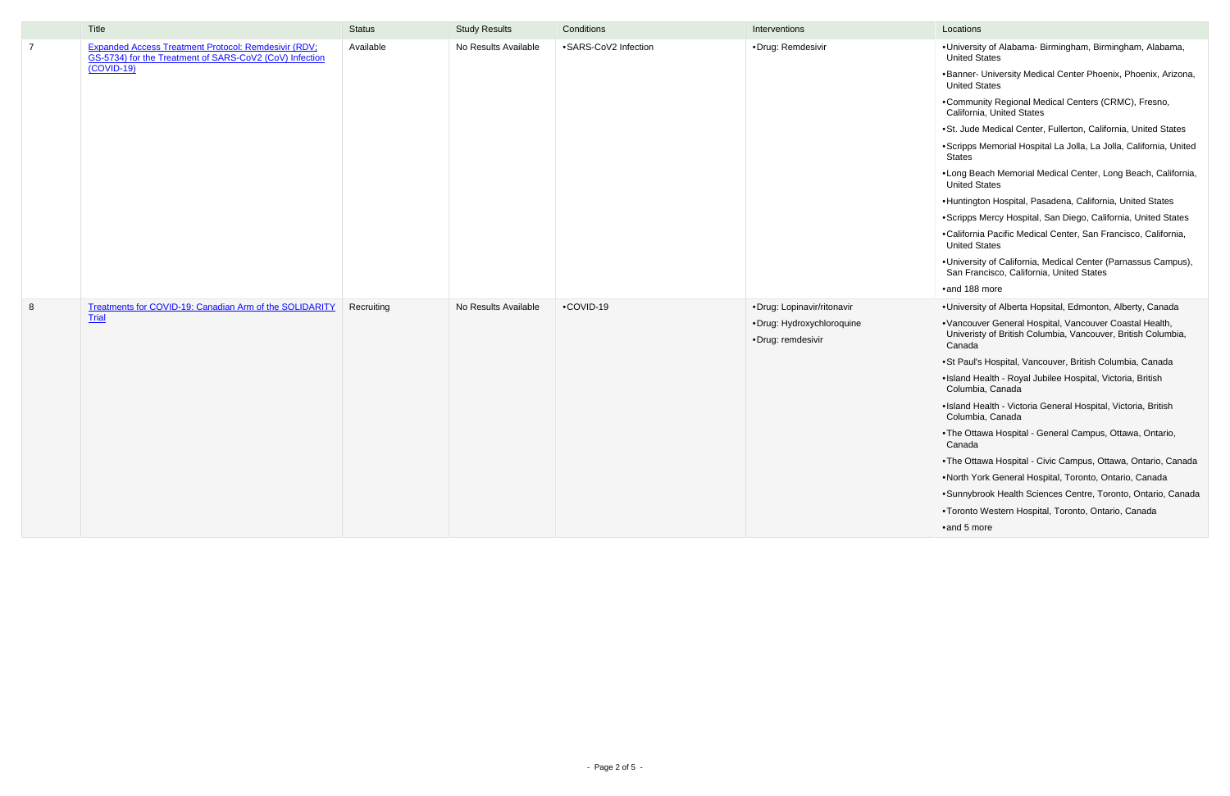|                | Title                                                                                                                           | <b>Status</b> | <b>Study Results</b> | Conditions           | Interventions              | Locations                     |
|----------------|---------------------------------------------------------------------------------------------------------------------------------|---------------|----------------------|----------------------|----------------------------|-------------------------------|
| $\overline{7}$ | Expanded Access Treatment Protocol: Remdesivir (RDV;<br>GS-5734) for the Treatment of SARS-CoV2 (CoV) Infection<br>$(COVID-19)$ | Available     | No Results Available | •SARS-CoV2 Infection | ·Drug: Remdesivir          | ·Universit<br><b>United S</b> |
|                |                                                                                                                                 |               |                      |                      |                            | •Banner-<br>United S          |
|                |                                                                                                                                 |               |                      |                      |                            | •Commur<br>Californi          |
|                |                                                                                                                                 |               |                      |                      |                            | ·St. Jude                     |
|                |                                                                                                                                 |               |                      |                      |                            | ·Scripps<br><b>States</b>     |
|                |                                                                                                                                 |               |                      |                      |                            | •Long Be<br>United S          |
|                |                                                                                                                                 |               |                      |                      |                            | ·Huntingt                     |
|                |                                                                                                                                 |               |                      |                      |                            | ·Scripps                      |
|                |                                                                                                                                 |               |                      |                      |                            | ·Californi<br>United S        |
|                |                                                                                                                                 |               |                      |                      |                            | ·Universit<br>San Frar        |
|                |                                                                                                                                 |               |                      |                      |                            | $\bullet$ and 188             |
| $8\phantom{1}$ | Treatments for COVID-19: Canadian Arm of the SOLIDARITY                                                                         | Recruiting    | No Results Available | •COVID-19            | ·Drug: Lopinavir/ritonavir | ·Universit                    |
|                | Trial                                                                                                                           |               |                      |                      | ·Drug: Hydroxychloroquine  | ·Vancouv                      |
|                |                                                                                                                                 |               |                      |                      | ·Drug: remdesivir          | Univerist<br>Canada           |
|                |                                                                                                                                 |               |                      |                      |                            | ·St Paul's                    |
|                |                                                                                                                                 |               |                      |                      |                            | ·Island H<br>Columbi          |
|                |                                                                                                                                 |               |                      |                      |                            | ·Island H<br>Columbi          |
|                |                                                                                                                                 |               |                      |                      |                            | •The Otta<br>Canada           |
|                |                                                                                                                                 |               |                      |                      |                            | •The Otta                     |
|                |                                                                                                                                 |               |                      |                      |                            | •North Yo                     |
|                |                                                                                                                                 |               |                      |                      |                            | ·Sunnybr                      |
|                |                                                                                                                                 |               |                      |                      |                            | •Toronto                      |
|                |                                                                                                                                 |               |                      |                      |                            | ·and 5 m                      |

- •University of Alabama- Birmingham, Birmingham, Alabama, United States
- •Banner- University Medical Center Phoenix, Phoenix, Arizona, United States
- •Community Regional Medical Centers (CRMC), Fresno, California, United States
- •St. Jude Medical Center, Fullerton, California, United States
- •Scripps Memorial Hospital La Jolla, La Jolla, California, United States
- •Long Beach Memorial Medical Center, Long Beach, California, United States
- •Huntington Hospital, Pasadena, California, United States
- •Scripps Mercy Hospital, San Diego, California, United States
- •California Pacific Medical Center, San Francisco, California, United States
- •University of California, Medical Center (Parnassus Campus), San Francisco, California, United States
- •and 188 more
- •University of Alberta Hopsital, Edmonton, Alberty, Canada
- •Vancouver General Hospital, Vancouver Coastal Health, Univeristy of British Columbia, Vancouver, British Columbia, Canada
- •St Paul's Hospital, Vancouver, British Columbia, Canada
- •Island Health Royal Jubilee Hospital, Victoria, British Columbia, Canada
- •Island Health Victoria General Hospital, Victoria, British Columbia, Canada
- •The Ottawa Hospital General Campus, Ottawa, Ontario, Canada
- •The Ottawa Hospital Civic Campus, Ottawa, Ontario, Canada
- •North York General Hospital, Toronto, Ontario, Canada
- •Sunnybrook Health Sciences Centre, Toronto, Ontario, Canada
- •Toronto Western Hospital, Toronto, Ontario, Canada
- •and 5 more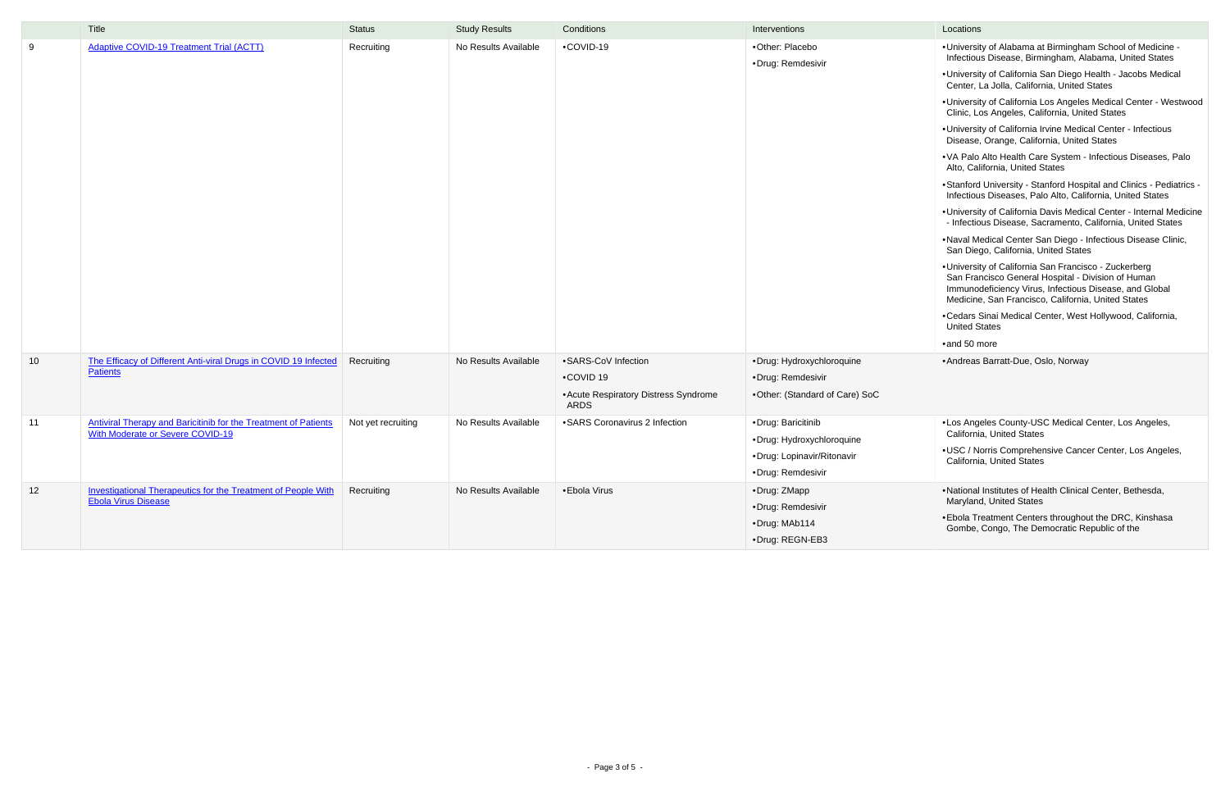|    | Title                                                                                                      | <b>Status</b>      | <b>Study Results</b> | Conditions                                                                        | Interventions                                                                                      | Locations                                                                                                                                                                                                                                                                                                            |
|----|------------------------------------------------------------------------------------------------------------|--------------------|----------------------|-----------------------------------------------------------------------------------|----------------------------------------------------------------------------------------------------|----------------------------------------------------------------------------------------------------------------------------------------------------------------------------------------------------------------------------------------------------------------------------------------------------------------------|
| 9  | <b>Adaptive COVID-19 Treatment Trial (ACTT)</b>                                                            | Recruiting         | No Results Available | •COVID-19                                                                         | •Other: Placebo<br>·Drug: Remdesivir                                                               | ·Universit<br>Infectiou<br>·Universit<br>Center, I<br>·Universit<br>Clinic, Lo<br>·Universit<br><b>Disease</b><br>•VA Palo<br>Alto, Cal<br>·Stanford<br>Infectiou<br>·Universit<br>- Infectio<br>·Naval M<br>San Dieç<br>·Universit<br>San Frai<br>Immuno<br>Medicine<br>•Cedars 9<br>United S<br>$\bullet$ and 50 n |
| 10 | The Efficacy of Different Anti-viral Drugs in COVID 19 Infected<br><b>Patients</b>                         | Recruiting         | No Results Available | •SARS-CoV Infection<br>•COVID 19<br>• Acute Respiratory Distress Syndrome<br>ARDS | ·Drug: Hydroxychloroquine<br>·Drug: Remdesivir<br>•Other: (Standard of Care) SoC                   | · Andreas                                                                                                                                                                                                                                                                                                            |
| 11 | <b>Antiviral Therapy and Baricitinib for the Treatment of Patients</b><br>With Moderate or Severe COVID-19 | Not yet recruiting | No Results Available | •SARS Coronavirus 2 Infection                                                     | •Drug: Baricitinib<br>·Drug: Hydroxychloroquine<br>·Drug: Lopinavir/Ritonavir<br>•Drug: Remdesivir | •Los Ang<br>Californi<br>$\cdot$ USC / N<br>California                                                                                                                                                                                                                                                               |
| 12 | <b>Investigational Therapeutics for the Treatment of People With</b><br><b>Ebola Virus Disease</b>         | Recruiting         | No Results Available | •Ebola Virus                                                                      | •Drug: ZMapp<br>·Drug: Remdesivir<br>·Drug: MAb114<br>•Drug: REGN-EB3                              | ·National<br>Maryland<br>·Ebola Tr<br>Gombe,                                                                                                                                                                                                                                                                         |

- •University of Alabama at Birmingham School of Medicine Infectious Disease, Birmingham, Alabama, United States
- •University of California San Diego Health Jacobs Medical Center, La Jolla, California, United States
- •University of California Los Angeles Medical Center Westwood Clinic, Los Angeles, California, United States
- •University of California Irvine Medical Center Infectious Disease, Orange, California, United States
- •VA Palo Alto Health Care System Infectious Diseases, Palo Alto, California, United States
- •Stanford University Stanford Hospital and Clinics Pediatrics Infectious Diseases, Palo Alto, California, United States
- •University of California Davis Medical Center Internal Medicine - Infectious Disease, Sacramento, California, United States
- •Naval Medical Center San Diego Infectious Disease Clinic, San Diego, California, United States
- •University of California San Francisco Zuckerberg San Francisco General Hospital - Division of Human Immunodeficiency Virus, Infectious Disease, and Global Medicine, San Francisco, California, United States
- •Cedars Sinai Medical Center, West Hollywood, California, United States
- •and 50 more
- •Andreas Barratt-Due, Oslo, Norway
- •Los Angeles County-USC Medical Center, Los Angeles, California, United States
- •USC / Norris Comprehensive Cancer Center, Los Angeles, California, United States
- •National Institutes of Health Clinical Center, Bethesda, Maryland, United States
- •Ebola Treatment Centers throughout the DRC, Kinshasa Gombe, Congo, The Democratic Republic of the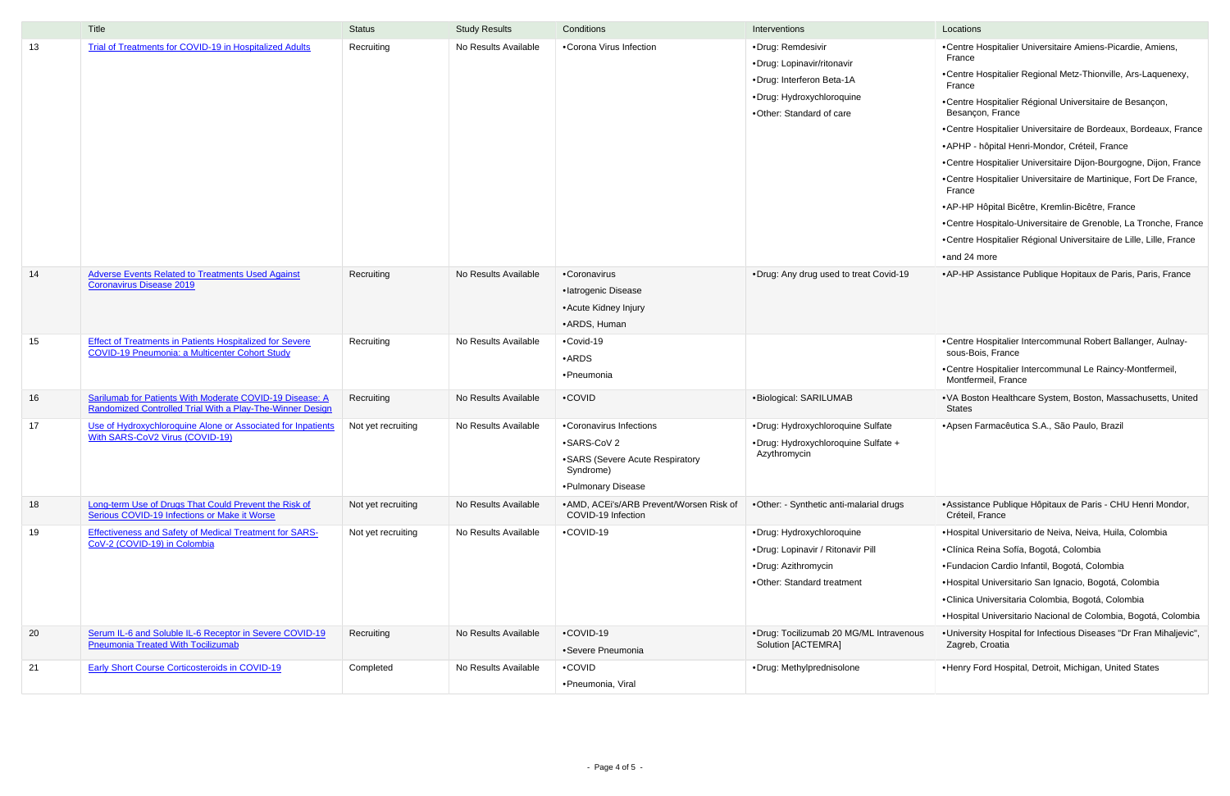|    | Title                                                                                                                    | <b>Status</b>      | <b>Study Results</b> | Conditions                                                                                                     | Interventions                                                                                                                         | Locations                                                                                                                                                                                                                                                                                                                                                                                                                                                                                                                                                                                                                                                                                                      |
|----|--------------------------------------------------------------------------------------------------------------------------|--------------------|----------------------|----------------------------------------------------------------------------------------------------------------|---------------------------------------------------------------------------------------------------------------------------------------|----------------------------------------------------------------------------------------------------------------------------------------------------------------------------------------------------------------------------------------------------------------------------------------------------------------------------------------------------------------------------------------------------------------------------------------------------------------------------------------------------------------------------------------------------------------------------------------------------------------------------------------------------------------------------------------------------------------|
| 13 | <b>Trial of Treatments for COVID-19 in Hospitalized Adults</b>                                                           | Recruiting         | No Results Available | •Corona Virus Infection                                                                                        | •Drug: Remdesivir<br>•Drug: Lopinavir/ritonavir<br>•Drug: Interferon Beta-1A<br>•Drug: Hydroxychloroquine<br>•Other: Standard of care | •Centre Hospitalier Universitaire Amiens-Picardie, Amiens,<br>France<br>•Centre Hospitalier Regional Metz-Thionville, Ars-Laquenexy,<br>France<br>•Centre Hospitalier Régional Universitaire de Besançon,<br>Besançon, France<br>•Centre Hospitalier Universitaire de Bordeaux, Bordeaux, Franc<br>• APHP - hôpital Henri-Mondor, Créteil, France<br>•Centre Hospitalier Universitaire Dijon-Bourgogne, Dijon, Franc<br>•Centre Hospitalier Universitaire de Martinique, Fort De France,<br>France<br>• AP-HP Hôpital Bicêtre, Kremlin-Bicêtre, France<br>•Centre Hospitalo-Universitaire de Grenoble, La Tronche, Franc<br>•Centre Hospitalier Régional Universitaire de Lille, Lille, France<br>•and 24 more |
| 14 | <b>Adverse Events Related to Treatments Used Against</b><br><b>Coronavirus Disease 2019</b>                              | Recruiting         | No Results Available | •Coronavirus<br>·latrogenic Disease<br>• Acute Kidney Injury<br>• ARDS, Human                                  | .Drug: Any drug used to treat Covid-19                                                                                                | • AP-HP Assistance Publique Hopitaux de Paris, Paris, France                                                                                                                                                                                                                                                                                                                                                                                                                                                                                                                                                                                                                                                   |
| 15 | <b>Effect of Treatments in Patients Hospitalized for Severe</b><br><b>COVID-19 Pneumonia: a Multicenter Cohort Study</b> | Recruiting         | No Results Available | •Covid-19<br>$\bullet$ ARDS<br>•Pneumonia                                                                      |                                                                                                                                       | •Centre Hospitalier Intercommunal Robert Ballanger, Aulnay-<br>sous-Bois, France<br>•Centre Hospitalier Intercommunal Le Raincy-Montfermeil,<br>Montfermeil, France                                                                                                                                                                                                                                                                                                                                                                                                                                                                                                                                            |
| 16 | Sarilumab for Patients With Moderate COVID-19 Disease: A<br>Randomized Controlled Trial With a Play-The-Winner Design    | Recruiting         | No Results Available | •COVID                                                                                                         | ·Biological: SARILUMAB                                                                                                                | .VA Boston Healthcare System, Boston, Massachusetts, United<br><b>States</b>                                                                                                                                                                                                                                                                                                                                                                                                                                                                                                                                                                                                                                   |
| 17 | Use of Hydroxychloroquine Alone or Associated for Inpatients<br>With SARS-CoV2 Virus (COVID-19)                          | Not yet recruiting | No Results Available | •Coronavirus Infections<br>•SARS-CoV 2<br>• SARS (Severe Acute Respiratory<br>Syndrome)<br>• Pulmonary Disease | ·Drug: Hydroxychloroquine Sulfate<br>•Drug: Hydroxychloroquine Sulfate +<br>Azythromycin                                              | • Apsen Farmacêutica S.A., São Paulo, Brazil                                                                                                                                                                                                                                                                                                                                                                                                                                                                                                                                                                                                                                                                   |
| 18 | Long-term Use of Drugs That Could Prevent the Risk of<br>Serious COVID-19 Infections or Make it Worse                    | Not yet recruiting | No Results Available | • AMD, ACEi's/ARB Prevent/Worsen Risk of<br>COVID-19 Infection                                                 | •Other: - Synthetic anti-malarial drugs                                                                                               | • Assistance Publique Hôpitaux de Paris - CHU Henri Mondor,<br>Créteil, France                                                                                                                                                                                                                                                                                                                                                                                                                                                                                                                                                                                                                                 |
| 19 | <b>Effectiveness and Safety of Medical Treatment for SARS-</b><br>CoV-2 (COVID-19) in Colombia                           | Not yet recruiting | No Results Available | •COVID-19                                                                                                      | •Drug: Hydroxychloroquine<br>•Drug: Lopinavir / Ritonavir Pill<br>•Drug: Azithromycin<br>•Other: Standard treatment                   | ·Hospital Universitario de Neiva, Neiva, Huila, Colombia<br>•Clínica Reina Sofía, Bogotá, Colombia<br>• Fundacion Cardio Infantil, Bogotá, Colombia<br>• Hospital Universitario San Ignacio, Bogotá, Colombia<br>• Clinica Universitaria Colombia, Bogotá, Colombia<br>·Hospital Universitario Nacional de Colombia, Bogotá, Colombia                                                                                                                                                                                                                                                                                                                                                                          |
| 20 | Serum IL-6 and Soluble IL-6 Receptor in Severe COVID-19<br><b>Pneumonia Treated With Tocilizumab</b>                     | Recruiting         | No Results Available | •COVID-19<br>•Severe Pneumonia                                                                                 | •Drug: Tocilizumab 20 MG/ML Intravenous<br>Solution [ACTEMRA]                                                                         | . University Hospital for Infectious Diseases "Dr Fran Mihaljevic"<br>Zagreb, Croatia                                                                                                                                                                                                                                                                                                                                                                                                                                                                                                                                                                                                                          |
| 21 | <b>Early Short Course Corticosteroids in COVID-19</b>                                                                    | Completed          | No Results Available | •COVID<br>•Pneumonia, Viral                                                                                    | •Drug: Methylprednisolone                                                                                                             | . Henry Ford Hospital, Detroit, Michigan, United States                                                                                                                                                                                                                                                                                                                                                                                                                                                                                                                                                                                                                                                        |

| Interventions                                                 | Locations                                                                                            |
|---------------------------------------------------------------|------------------------------------------------------------------------------------------------------|
| ·Drug: Remdesivir                                             | •Centre Hospitalier Universitaire Amiens-Picardie, Amiens,<br>France                                 |
| •Drug: Lopinavir/ritonavir<br>·Drug: Interferon Beta-1A       | •Centre Hospitalier Regional Metz-Thionville, Ars-Laquenexy,<br>France                               |
| ·Drug: Hydroxychloroquine<br>•Other: Standard of care         | •Centre Hospitalier Régional Universitaire de Besançon,<br>Besançon, France                          |
|                                                               | •Centre Hospitalier Universitaire de Bordeaux, Bordeaux, France                                      |
|                                                               | • APHP - hôpital Henri-Mondor, Créteil, France                                                       |
|                                                               | •Centre Hospitalier Universitaire Dijon-Bourgogne, Dijon, France                                     |
|                                                               | •Centre Hospitalier Universitaire de Martinique, Fort De France,<br>France                           |
|                                                               | • AP-HP Hôpital Bicêtre, Kremlin-Bicêtre, France                                                     |
|                                                               | •Centre Hospitalo-Universitaire de Grenoble, La Tronche, France                                      |
|                                                               | •Centre Hospitalier Régional Universitaire de Lille, Lille, France                                   |
|                                                               | •and 24 more                                                                                         |
| ·Drug: Any drug used to treat Covid-19                        | • AP-HP Assistance Publique Hopitaux de Paris, Paris, France                                         |
|                                                               | •Centre Hospitalier Intercommunal Robert Ballanger, Aulnay-                                          |
|                                                               | sous-Bois, France<br>•Centre Hospitalier Intercommunal Le Raincy-Montfermeil,<br>Montfermeil, France |
| •Biological: SARILUMAB                                        | • VA Boston Healthcare System, Boston, Massachusetts, United<br><b>States</b>                        |
| ·Drug: Hydroxychloroquine Sulfate                             | • Apsen Farmacêutica S.A., São Paulo, Brazil                                                         |
| •Drug: Hydroxychloroquine Sulfate +<br>Azythromycin           |                                                                                                      |
| •Other: - Synthetic anti-malarial drugs                       | • Assistance Publique Hôpitaux de Paris - CHU Henri Mondor,<br>Créteil, France                       |
| ·Drug: Hydroxychloroquine                                     | • Hospital Universitario de Neiva, Neiva, Huila, Colombia                                            |
| •Drug: Lopinavir / Ritonavir Pill                             | •Clínica Reina Sofía, Bogotá, Colombia                                                               |
| ·Drug: Azithromycin                                           | • Fundacion Cardio Infantil, Bogotá, Colombia                                                        |
| •Other: Standard treatment                                    | • Hospital Universitario San Ignacio, Bogotá, Colombia                                               |
|                                                               | • Clinica Universitaria Colombia, Bogotá, Colombia                                                   |
|                                                               | • Hospital Universitario Nacional de Colombia, Bogotá, Colombia                                      |
| •Drug: Tocilizumab 20 MG/ML Intravenous<br>Solution [ACTEMRA] | . University Hospital for Infectious Diseases "Dr Fran Mihaljevic",<br>Zagreb, Croatia               |
| ·Drug: Methylprednisolone                                     | . Henry Ford Hospital, Detroit, Michigan, United States                                              |